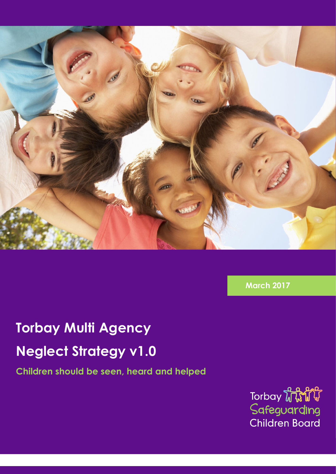

**March 2017**

# **Torbay Multi Agency Neglect Strategy v1.0**

**Children should be seen, heard and helped**

Torbay **WWW** Safeguarding **Children Board**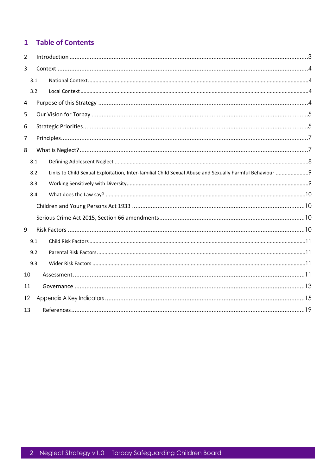#### **Table of Contents**  $\mathbf{1}$

| $\overline{2}$ |     |                                                                                                      |  |  |  |
|----------------|-----|------------------------------------------------------------------------------------------------------|--|--|--|
| 3              |     |                                                                                                      |  |  |  |
|                | 3.1 |                                                                                                      |  |  |  |
|                | 3.2 |                                                                                                      |  |  |  |
| 4              |     |                                                                                                      |  |  |  |
| 5              |     |                                                                                                      |  |  |  |
| 6              |     |                                                                                                      |  |  |  |
| 7              |     |                                                                                                      |  |  |  |
| 8              |     |                                                                                                      |  |  |  |
|                | 8.1 |                                                                                                      |  |  |  |
|                | 8.2 | Links to Child Sexual Exploitation, Inter-familial Child Sexual Abuse and Sexually harmful Behaviour |  |  |  |
|                | 8.3 |                                                                                                      |  |  |  |
|                | 8.4 |                                                                                                      |  |  |  |
|                |     |                                                                                                      |  |  |  |
|                |     |                                                                                                      |  |  |  |
| 9              |     |                                                                                                      |  |  |  |
|                | 9.1 |                                                                                                      |  |  |  |
|                | 9.2 |                                                                                                      |  |  |  |
|                | 9.3 |                                                                                                      |  |  |  |
| 10             |     |                                                                                                      |  |  |  |
| 11             |     |                                                                                                      |  |  |  |
| 12             |     |                                                                                                      |  |  |  |
| 13             |     |                                                                                                      |  |  |  |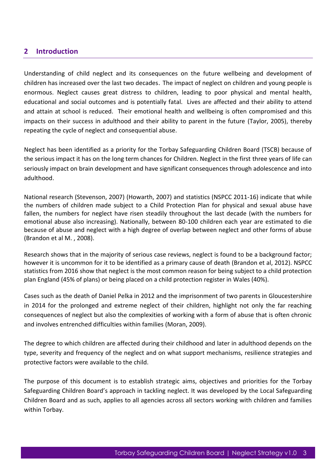### <span id="page-2-0"></span>**2 Introduction**

Understanding of child neglect and its consequences on the future wellbeing and development of children has increased over the last two decades. The impact of neglect on children and young people is enormous. Neglect causes great distress to children, leading to poor physical and mental health, educational and social outcomes and is potentially fatal. Lives are affected and their ability to attend and attain at school is reduced. Their emotional health and wellbeing is often compromised and this impacts on their success in adulthood and their ability to parent in the future (Taylor, 2005), thereby repeating the cycle of neglect and consequential abuse.

Neglect has been identified as a priority for the Torbay Safeguarding Children Board (TSCB) because of the serious impact it has on the long term chances for Children. Neglect in the first three years of life can seriously impact on brain development and have significant consequences through adolescence and into adulthood.

National research (Stevenson, 2007) (Howarth, 2007) and statistics (NSPCC 2011-16) indicate that while the numbers of children made subject to a Child Protection Plan for physical and sexual abuse have fallen, the numbers for neglect have risen steadily throughout the last decade (with the numbers for emotional abuse also increasing). Nationally, between 80-100 children each year are estimated to die because of abuse and neglect with a high degree of overlap between neglect and other forms of abuse (Brandon et al M. , 2008).

Research shows that in the majority of serious case reviews, neglect is found to be a background factor; however it is uncommon for it to be identified as a primary cause of death (Brandon et al, 2012). NSPCC statistics from 2016 show that neglect is the most common reason for being subject to a child protection plan England (45% of plans) or being placed on a child protection register in Wales (40%).

Cases such as the death of Daniel Pelka in 2012 and the imprisonment of two parents in Gloucestershire in 2014 for the prolonged and extreme neglect of their children, highlight not only the far reaching consequences of neglect but also the complexities of working with a form of abuse that is often chronic and involves entrenched difficulties within families (Moran, 2009).

The degree to which children are affected during their childhood and later in adulthood depends on the type, severity and frequency of the neglect and on what support mechanisms, resilience strategies and protective factors were available to the child.

The purpose of this document is to establish strategic aims, objectives and priorities for the Torbay Safeguarding Children Board's approach in tackling neglect. It was developed by the Local Safeguarding Children Board and as such, applies to all agencies across all sectors working with children and families within Torbay.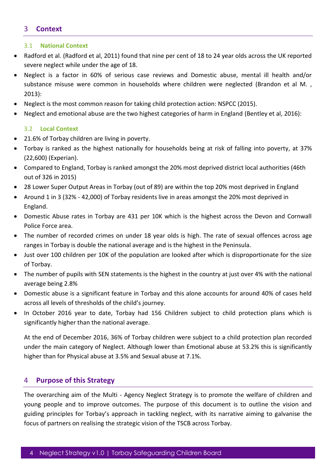## <span id="page-3-0"></span>3 **Context**

#### <span id="page-3-1"></span>3.1 **National Context**

- Radford et al. (Radford et al, 2011) found that nine per cent of 18 to 24 year olds across the UK reported severe neglect while under the age of 18.
- Neglect is a factor in 60% of serious case reviews and Domestic abuse, mental ill health and/or substance misuse were common in households where children were neglected (Brandon et al M. , 2013):
- Neglect is the most common reason for taking child protection action: NSPCC (2015).
- Neglect and emotional abuse are the two highest categories of harm in England (Bentley et al, 2016):

#### <span id="page-3-2"></span>3.2 **Local Context**

- 21.6% of Torbay children are living in poverty.
- Torbay is ranked as the highest nationally for households being at risk of falling into poverty, at 37% (22,600) (Experian).
- Compared to England, Torbay is ranked amongst the 20% most deprived district local authorities (46th out of 326 in 2015)
- 28 Lower Super Output Areas in Torbay (out of 89) are within the top 20% most deprived in England
- Around 1 in 3 (32% 42,000) of Torbay residents live in areas amongst the 20% most deprived in England.
- Domestic Abuse rates in Torbay are 431 per 10K which is the highest across the Devon and Cornwall Police Force area.
- The number of recorded crimes on under 18 year olds is high. The rate of sexual offences across age ranges in Torbay is double the national average and is the highest in the Peninsula.
- Just over 100 children per 10K of the population are looked after which is disproportionate for the size of Torbay.
- The number of pupils with SEN statements is the highest in the country at just over 4% with the national average being 2.8%
- Domestic abuse is a significant feature in Torbay and this alone accounts for around 40% of cases held across all levels of thresholds of the child's journey.
- In October 2016 year to date, Torbay had 156 Children subject to child protection plans which is significantly higher than the national average.

At the end of December 2016, 36% of Torbay children were subject to a child protection plan recorded under the main category of Neglect. Although lower than Emotional abuse at 53.2% this is significantly higher than for Physical abuse at 3.5% and Sexual abuse at 7.1%.

#### <span id="page-3-3"></span>4 **Purpose of this Strategy**

The overarching aim of the Multi - Agency Neglect Strategy is to promote the welfare of children and young people and to improve outcomes. The purpose of this document is to outline the vision and guiding principles for Torbay's approach in tackling neglect, with its narrative aiming to galvanise the focus of partners on realising the strategic vision of the TSCB across Torbay.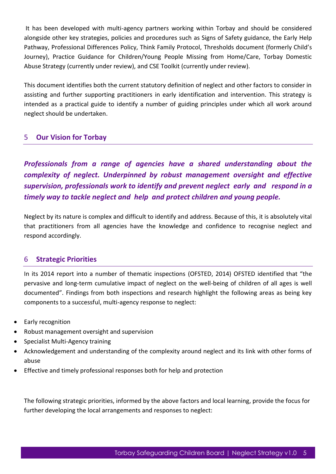It has been developed with multi-agency partners working within Torbay and should be considered alongside other key strategies, policies and procedures such as Signs of Safety guidance, the Early Help Pathway, Professional Differences Policy, Think Family Protocol, Thresholds document (formerly Child's Journey), Practice Guidance for Children/Young People Missing from Home/Care, Torbay Domestic Abuse Strategy (currently under review), and CSE Toolkit (currently under review).

This document identifies both the current statutory definition of neglect and other factors to consider in assisting and further supporting practitioners in early identification and intervention. This strategy is intended as a practical guide to identify a number of guiding principles under which all work around neglect should be undertaken.

## <span id="page-4-0"></span>5 **Our Vision for Torbay**

*Professionals from a range of agencies have a shared understanding about the complexity of neglect. Underpinned by robust management oversight and effective supervision, professionals work to identify and prevent neglect early and respond in a timely way to tackle neglect and help and protect children and young people.*

Neglect by its nature is complex and difficult to identify and address. Because of this, it is absolutely vital that practitioners from all agencies have the knowledge and confidence to recognise neglect and respond accordingly.

### <span id="page-4-1"></span>6 **Strategic Priorities**

In its 2014 report into a number of thematic inspections (OFSTED, 2014) OFSTED identified that "the pervasive and long-term cumulative impact of neglect on the well-being of children of all ages is well documented". Findings from both inspections and research highlight the following areas as being key components to a successful, multi-agency response to neglect:

- Early recognition
- Robust management oversight and supervision
- Specialist Multi-Agency training
- Acknowledgement and understanding of the complexity around neglect and its link with other forms of abuse
- Effective and timely professional responses both for help and protection

The following strategic priorities, informed by the above factors and local learning, provide the focus for further developing the local arrangements and responses to neglect: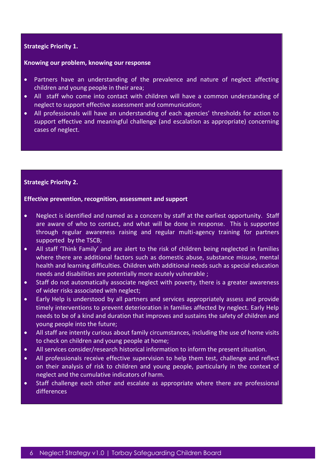#### **2. Strategic Priority 1.**

#### **4. Knowing our problem, knowing our response**

- Partners have an understanding of the prevalence and nature of neglect affecting children and young people in their area;
- All staff who come into contact with children will have a common understanding of neglect to support effective assessment and communication;
- All professionals will have an understanding of each agencies' thresholds for action to support effective and meaningful challenge (and escalation as appropriate) concerning cases of neglect.

#### **7. Strategic Priority 2.**

#### **Effective prevention, recognition, assessment and support**

- Neglect is identified and named as a concern by staff at the earliest opportunity. Staff are aware of who to contact, and what will be done in response. This is supported through regular awareness raising and regular multi-agency training for partners supported by the TSCB;
- All staff 'Think Family' and are alert to the risk of children being neglected in families where there are additional factors such as domestic abuse, substance misuse, mental health and learning difficulties. Children with additional needs such as special education needs and disabilities are potentially more acutely vulnerable ;
- Staff do not automatically associate neglect with poverty, there is a greater awareness of wider risks associated with neglect;
- Early Help is understood by all partners and services appropriately assess and provide timely interventions to prevent deterioration in families affected by neglect. Early Help needs to be of a kind and duration that improves and sustains the safety of children and young people into the future;
- All staff are intently curious about family circumstances, including the use of home visits to check on children and young people at home;
- All services consider/research historical information to inform the present situation.
- All professionals receive effective supervision to help them test, challenge and reflect on their analysis of risk to children and young people, particularly in the context of neglect and the cumulative indicators of harm.
- Staff challenge each other and escalate as appropriate where there are professional differences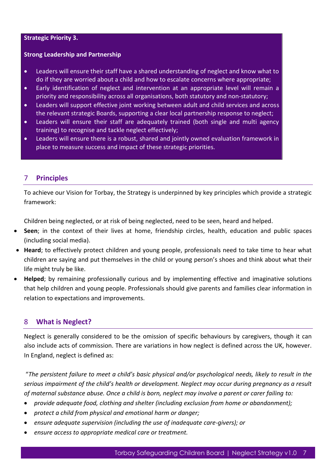#### **Strategic Priority 3.**

#### **Strong Leadership and Partnership**

- Leaders will ensure their staff have a shared understanding of neglect and know what to do if they are worried about a child and how to escalate concerns where appropriate;
- Early identification of neglect and intervention at an appropriate level will remain a priority and responsibility across all organisations, both statutory and non-statutory;
- Leaders will support effective joint working between adult and child services and across the relevant strategic Boards, supporting a clear local partnership response to neglect;
- Leaders will ensure their staff are adequately trained (both single and multi agency training) to recognise and tackle neglect effectively;
- Leaders will ensure there is a robust, shared and jointly owned evaluation framework in place to measure success and impact of these strategic priorities.

### <span id="page-6-0"></span>7 **Principles**

To achieve our Vision for Torbay, the Strategy is underpinned by key principles which provide a strategic framework:

Children being neglected, or at risk of being neglected, need to be seen, heard and helped.

- **Seen**; in the context of their lives at home, friendship circles, health, education and public spaces (including social media).
- **Heard**; to effectively protect children and young people, professionals need to take time to hear what children are saying and put themselves in the child or young person's shoes and think about what their life might truly be like.
- **Helped**; by remaining professionally curious and by implementing effective and imaginative solutions that help children and young people. Professionals should give parents and families clear information in relation to expectations and improvements.

### <span id="page-6-1"></span>8 **What is Neglect?**

Neglect is generally considered to be the omission of specific behaviours by caregivers, though it can also include acts of commission. There are variations in how neglect is defined across the UK, however. In England, neglect is defined as:

"*The persistent failure to meet a child's basic physical and/or psychological needs, likely to result in the serious impairment of the child's health or development. Neglect may occur during pregnancy as a result of maternal substance abuse. Once a child is born, neglect may involve a parent or carer failing to:* 

- *provide adequate food, clothing and shelter (including exclusion from home or abandonment);*
- *protect a child from physical and emotional harm or danger;*
- *ensure adequate supervision (including the use of inadequate care-givers); or*
- *ensure access to appropriate medical care or treatment.*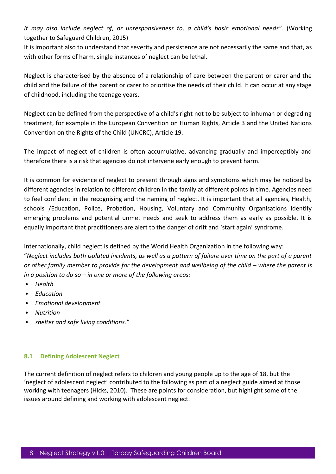*It may also include neglect of, or unresponsiveness to, a child's basic emotional needs".* (Working together to Safeguard Children, 2015)

It is important also to understand that severity and persistence are not necessarily the same and that, as with other forms of harm, single instances of neglect can be lethal.

Neglect is characterised by the absence of a relationship of care between the parent or carer and the child and the failure of the parent or carer to prioritise the needs of their child. It can occur at any stage of childhood, including the teenage years.

Neglect can be defined from the perspective of a child's right not to be subject to inhuman or degrading treatment, for example in the European Convention on Human Rights, Article 3 and the United Nations Convention on the Rights of the Child (UNCRC), Article 19.

The impact of neglect of children is often accumulative, advancing gradually and imperceptibly and therefore there is a risk that agencies do not intervene early enough to prevent harm.

It is common for evidence of neglect to present through signs and symptoms which may be noticed by different agencies in relation to different children in the family at different points in time. Agencies need to feel confident in the recognising and the naming of neglect. It is important that all agencies, Health, schools /Education, Police, Probation, Housing, Voluntary and Community Organisations identify emerging problems and potential unmet needs and seek to address them as early as possible. It is equally important that practitioners are alert to the danger of drift and 'start again' syndrome.

Internationally, child neglect is defined by the World Health Organization in the following way: "*Neglect includes both isolated incidents, as well as a pattern of failure over time on the part of a parent or other family member to provide for the development and wellbeing of the child – where the parent is in a position to do so – in one or more of the following areas:*

- *Health*
- *Education*
- *Emotional development*
- *Nutrition*
- *shelter and safe living conditions."*

#### <span id="page-7-0"></span>**8.1 Defining Adolescent Neglect**

The current definition of neglect refers to children and young people up to the age of 18, but the 'neglect of adolescent neglect' contributed to the following as part of a neglect guide aimed at those working with teenagers (Hicks, 2010). These are points for consideration, but highlight some of the issues around defining and working with adolescent neglect.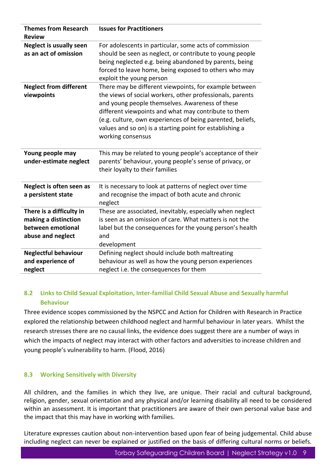| <b>Themes from Research</b><br><b>Review</b>                                               | <b>Issues for Practitioners</b>                                                                                                                                                                                                                                                                                                                                               |
|--------------------------------------------------------------------------------------------|-------------------------------------------------------------------------------------------------------------------------------------------------------------------------------------------------------------------------------------------------------------------------------------------------------------------------------------------------------------------------------|
| <b>Neglect is usually seen</b><br>as an act of omission                                    | For adolescents in particular, some acts of commission<br>should be seen as neglect, or contribute to young people<br>being neglected e.g. being abandoned by parents, being<br>forced to leave home, being exposed to others who may<br>exploit the young person                                                                                                             |
| <b>Neglect from different</b><br>viewpoints                                                | There may be different viewpoints, for example between<br>the views of social workers, other professionals, parents<br>and young people themselves. Awareness of these<br>different viewpoints and what may contribute to them<br>(e.g. culture, own experiences of being parented, beliefs,<br>values and so on) is a starting point for establishing a<br>working consensus |
| Young people may<br>under-estimate neglect                                                 | This may be related to young people's acceptance of their<br>parents' behaviour, young people's sense of privacy, or<br>their loyalty to their families                                                                                                                                                                                                                       |
| Neglect is often seen as<br>a persistent state                                             | It is necessary to look at patterns of neglect over time<br>and recognise the impact of both acute and chronic<br>neglect                                                                                                                                                                                                                                                     |
| There is a difficulty in<br>making a distinction<br>between emotional<br>abuse and neglect | These are associated, inevitably, especially when neglect<br>is seen as an omission of care. What matters is not the<br>label but the consequences for the young person's health<br>and<br>development                                                                                                                                                                        |
| <b>Neglectful behaviour</b><br>and experience of<br>neglect                                | Defining neglect should include both maltreating<br>behaviour as well as how the young person experiences<br>neglect i.e. the consequences for them                                                                                                                                                                                                                           |

### <span id="page-8-0"></span>**8.2 Links to Child Sexual Exploitation, Inter-familial Child Sexual Abuse and Sexually harmful Behaviour**

Three evidence scopes commissioned by the NSPCC and Action for Children with Research in Practice explored the relationship between childhood neglect and harmful behaviour in later years. Whilst the research stresses there are no causal links, the evidence does suggest there are a number of ways in which the impacts of neglect may interact with other factors and adversities to increase children and young people's vulnerability to harm. (Flood, 2016)

#### <span id="page-8-1"></span>**8.3 Working Sensitively with Diversity**

All children, and the families in which they live, are unique. Their racial and cultural background, religion, gender, sexual orientation and any physical and/or learning disability all need to be considered within an assessment. It is important that practitioners are aware of their own personal value base and the impact that this may have in working with families.

Literature expresses caution about non-intervention based upon fear of being judgemental. Child abuse including neglect can never be explained or justified on the basis of differing cultural norms or beliefs.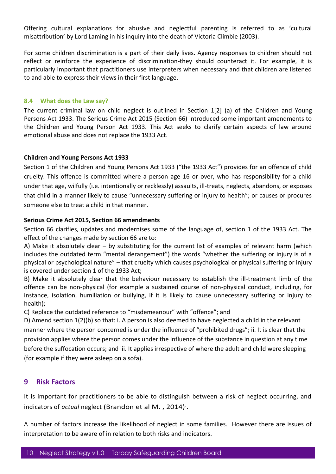Offering cultural explanations for abusive and neglectful parenting is referred to as 'cultural misattribution' by Lord Laming in his inquiry into the death of Victoria Climbie (2003).

For some children discrimination is a part of their daily lives. Agency responses to children should not reflect or reinforce the experience of discrimination-they should counteract it. For example, it is particularly important that practitioners use interpreters when necessary and that children are listened to and able to express their views in their first language.

#### <span id="page-9-0"></span>**8.4 What does the Law say?**

The current criminal law on child neglect is outlined in Section 1[2] (a) of the Children and Young Persons Act 1933. The Serious Crime Act 2015 (Section 66) introduced some important amendments to the Children and Young Person Act 1933. This Act seeks to clarify certain aspects of law around emotional abuse and does not replace the 1933 Act.

#### <span id="page-9-1"></span>**Children and Young Persons Act 1933**

Section 1 of the Children and Young Persons Act 1933 ("the 1933 Act") provides for an offence of child cruelty. This offence is committed where a person age 16 or over, who has responsibility for a child under that age, wilfully (i.e. intentionally or recklessly) assaults, ill-treats, neglects, abandons, or exposes that child in a manner likely to cause "unnecessary suffering or injury to health"; or causes or procures someone else to treat a child in that manner.

#### <span id="page-9-2"></span>**Serious Crime Act 2015, Section 66 amendments**

Section 66 clarifies, updates and modernises some of the language of, section 1 of the 1933 Act. The effect of the changes made by section 66 are to:

A) Make it absolutely clear – by substituting for the current list of examples of relevant harm (which includes the outdated term "mental derangement") the words "whether the suffering or injury is of a physical or psychological nature" – that cruelty which causes psychological or physical suffering or injury is covered under section 1 of the 1933 Act;

B) Make it absolutely clear that the behaviour necessary to establish the ill-treatment limb of the offence can be non-physical (for example a sustained course of non-physical conduct, including, for instance, isolation, humiliation or bullying, if it is likely to cause unnecessary suffering or injury to health);

C) Replace the outdated reference to "misdemeanour" with "offence"; and

D) Amend section 1(2)(b) so that: i. A person is also deemed to have neglected a child in the relevant manner where the person concerned is under the influence of "prohibited drugs"; ii. It is clear that the provision applies where the person comes under the influence of the substance in question at any time before the suffocation occurs; and iii. It applies irrespective of where the adult and child were sleeping (for example if they were asleep on a sofa).

#### <span id="page-9-3"></span>**9 Risk Factors**

It is important for practitioners to be able to distinguish between a risk of neglect occurring, and indicators of *actual* neglect (Brandon et al M., 2014).

A number of factors increase the likelihood of neglect in some families. However there are issues of interpretation to be aware of in relation to both risks and indicators.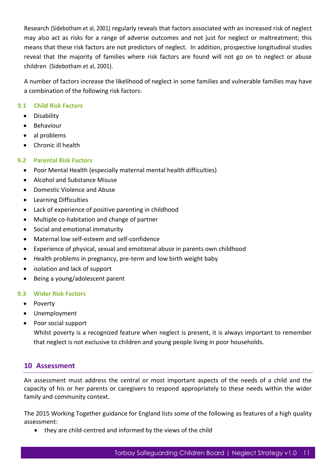Research (Sidebotham et al, 2001) regularly reveals that factors associated with an increased risk of neglect may also act as risks for a range of adverse outcomes and not just for neglect or maltreatment; this means that these risk factors are not predictors of neglect. In addition, prospective longitudinal studies reveal that the majority of families where risk factors are found will not go on to neglect or abuse children (Sidebotham et al, 2001).

A number of factors increase the likelihood of neglect in some families and vulnerable families may have a combination of the following risk factors:

#### <span id="page-10-0"></span>**9.1 Child Risk Factors**

- **•** Disability
- **•** Behaviour
- al problems
- Chronic ill health

#### <span id="page-10-1"></span>**9.2 Parental Risk Factors**

- Poor Mental Health (especially maternal mental health difficulties)
- Alcohol and Substance Misuse
- Domestic Violence and Abuse
- Learning Difficulties
- Lack of experience of positive parenting in childhood
- Multiple co-habitation and change of partner
- Social and emotional immaturity
- Maternal low self-esteem and self-confidence
- Experience of physical, sexual and emotional abuse in parents own childhood
- Health problems in pregnancy, pre-term and low birth weight baby
- isolation and lack of support
- Being a young/adolescent parent

#### <span id="page-10-2"></span>**9.3 Wider Risk Factors**

- Poverty
- Unemployment
- Poor social support

Whilst poverty is a recognized feature when neglect is present, it is always important to remember that neglect is not exclusive to children and young people living in poor households.

#### <span id="page-10-3"></span>**10 Assessment**

An assessment must address the central or most important aspects of the needs of a child and the capacity of his or her parents or caregivers to respond appropriately to these needs within the wider family and community context.

The 2015 Working Together guidance for England lists some of the following as features of a high quality assessment:

they are child-centred and informed by the views of the child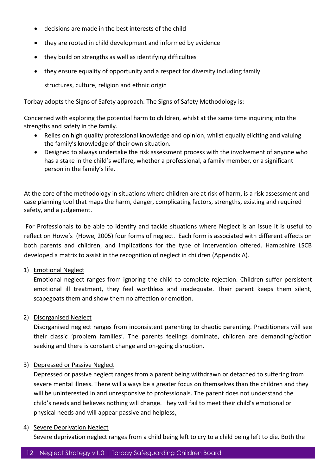- decisions are made in the best interests of the child
- they are rooted in child development and informed by evidence
- they build on strengths as well as identifying difficulties
- they ensure equality of opportunity and a respect for diversity including family

structures, culture, religion and ethnic origin

Torbay adopts the Signs of Safety approach. The Signs of Safety Methodology is:

Concerned with exploring the potential harm to children, whilst at the same time inquiring into the strengths and safety in the family.

- Relies on high quality professional knowledge and opinion, whilst equally eliciting and valuing the family's knowledge of their own situation.
- Designed to always undertake the risk assessment process with the involvement of anyone who has a stake in the child's welfare, whether a professional, a family member, or a significant person in the family's life.

At the core of the methodology in situations where children are at risk of harm, is a risk assessment and case planning tool that maps the harm, danger, complicating factors, strengths, existing and required safety, and a judgement.

For Professionals to be able to identify and tackle situations where Neglect is an issue it is useful to reflect on Howe's (Howe, 2005) four forms of neglect. Each form is associated with different effects on both parents and children, and implications for the type of intervention offered. Hampshire LSCB developed a matrix to assist in the recognition of neglect in children (Appendix A).

1) Emotional Neglect

Emotional neglect ranges from ignoring the child to complete rejection. Children suffer persistent emotional ill treatment, they feel worthless and inadequate. Their parent keeps them silent, scapegoats them and show them no affection or emotion.

2) Disorganised Neglect

Disorganised neglect ranges from inconsistent parenting to chaotic parenting. Practitioners will see their classic 'problem families'. The parents feelings dominate, children are demanding/action seeking and there is constant change and on-going disruption.

#### 3) Depressed or Passive Neglect

Depressed or passive neglect ranges from a parent being withdrawn or detached to suffering from severe mental illness. There will always be a greater focus on themselves than the children and they will be uninterested in and unresponsive to professionals. The parent does not understand the child's needs and believes nothing will change. They will fail to meet their child's emotional or physical needs and will appear passive and helpless.

#### 4) Severe Deprivation Neglect

Severe deprivation neglect ranges from a child being left to cry to a child being left to die. Both the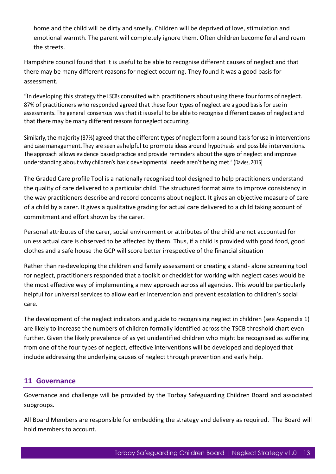home and the child will be dirty and smelly. Children will be deprived of love, stimulation and emotional warmth. The parent will completely ignore them. Often children become feral and roam the streets.

Hampshire council found that it is useful to be able to recognise different causes of neglect and that there may be many different reasons for neglect occurring. They found it was a good basis for assessment.

"In developing thisstrategy the LSCBs consulted with practitioners about using these fourforms of neglect. 87% of practitioners who responded agreed that these four types of neglect are a good basis for use in assessments. The general consensus was that it is useful to be able to recognise different causes of neglect and that there may be many different reasons for neglect occurring.

Similarly, the majority (87%) agreed that the different types of neglect form a sound basis for use in interventions and case management. They are seen as helpful to promote ideas around hypothesis and possible interventions. The approach allows evidence based practice and provide reminders aboutthe signs of neglect and improve understanding aboutwhy children's basic developmental needs aren't being met." (Davies, 2016)

The Graded Care profile Tool is a nationally recognised tool designed to help practitioners understand the quality of care delivered to a particular child. The structured format aims to improve consistency in the way practitioners describe and record concerns about neglect. It gives an objective measure of care of a child by a carer. It gives a qualitative grading for actual care delivered to a child taking account of commitment and effort shown by the carer.

Personal attributes of the carer, social environment or attributes of the child are not accounted for unless actual care is observed to be affected by them. Thus, if a child is provided with good food, good clothes and a safe house the GCP will score better irrespective of the financial situation

Rather than re-developing the children and family assessment or creating a stand- alone screening tool for neglect, practitioners responded that a toolkit or checklist for working with neglect cases would be the most effective way of implementing a new approach across all agencies. This would be particularly helpful for universal services to allow earlier intervention and prevent escalation to children's social care.

The development of the neglect indicators and guide to recognising neglect in children (see Appendix 1) are likely to increase the numbers of children formally identified across the TSCB threshold chart even further. Given the likely prevalence of as yet unidentified children who might be recognised as suffering from one of the four types of neglect, effective interventions will be developed and deployed that include addressing the underlying causes of neglect through prevention and early help.

## <span id="page-12-0"></span>**11 Governance**

Governance and challenge will be provided by the Torbay Safeguarding Children Board and associated subgroups.

All Board Members are responsible for embedding the strategy and delivery as required. The Board will hold members to account.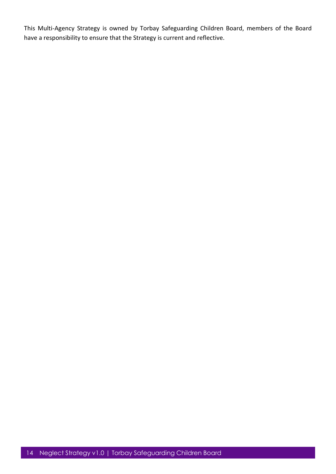This Multi-Agency Strategy is owned by Torbay Safeguarding Children Board, members of the Board have a responsibility to ensure that the Strategy is current and reflective.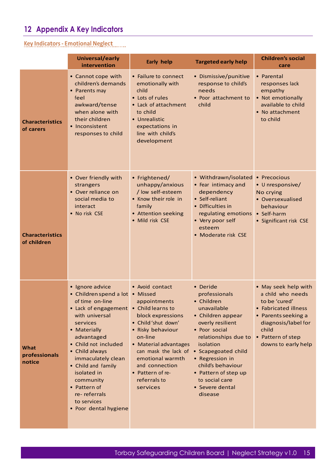## <span id="page-14-0"></span>**12 Appendix A Key Indicators**

## **Key Indicators- Emotional Neglect**

|                                       | Universal/early<br>intervention                                                                                                                                                                                                                                                                                                            | <b>Early help</b>                                                                                                                                                                                                                                                                  | <b>Targeted early help</b>                                                                                                                                                                                                                                                                   | <b>Children's social</b><br>care                                                                                                                                                      |
|---------------------------------------|--------------------------------------------------------------------------------------------------------------------------------------------------------------------------------------------------------------------------------------------------------------------------------------------------------------------------------------------|------------------------------------------------------------------------------------------------------------------------------------------------------------------------------------------------------------------------------------------------------------------------------------|----------------------------------------------------------------------------------------------------------------------------------------------------------------------------------------------------------------------------------------------------------------------------------------------|---------------------------------------------------------------------------------------------------------------------------------------------------------------------------------------|
| <b>Characteristics</b><br>of carers   | • Cannot cope with<br>children's demands<br>• Parents may<br>feel<br>awkward/tense<br>when alone with<br>their children<br>• Inconsistent<br>responses to child                                                                                                                                                                            | • Failure to connect<br>emotionally with<br>child<br>• Lots of rules<br>• Lack of attachment<br>to child<br>• Unrealistic<br>expectations in<br>line with child's<br>development                                                                                                   | • Dismissive/punitive<br>response to child's<br>needs<br>• Poor attachment to<br>child                                                                                                                                                                                                       | • Parental<br>responses lack<br>empathy<br>• Not emotionally<br>available to child<br>• No attachment<br>to child                                                                     |
| <b>Characteristics</b><br>of children | • Over friendly with<br>strangers<br>• Over reliance on<br>social media to<br>interact<br>• No risk CSE                                                                                                                                                                                                                                    | • Frightened/<br>unhappy/anxious<br>/ low self-esteem<br>• Know their role in<br>family<br>• Attention seeking<br>• Mild risk CSE                                                                                                                                                  | • Withdrawn/isolated<br>• Fear intimacy and<br>dependency<br>• Self-reliant<br>• Difficulties in<br>regulating emotions<br>• Very poor self<br>esteem<br>• Moderate risk CSE                                                                                                                 | • Precocious<br>• Unresponsive/<br>No crying<br>• Oversexualised<br>behaviour<br>• Self-harm<br>• Significant risk CSE                                                                |
| What<br>professionals<br>notice       | • Ignore advice<br>• Children spend a lot<br>of time on-line<br>• Lack of engagement<br>with universal<br>services<br>• Materially<br>advantaged<br>• Child not included<br>• Child always<br>immaculately clean<br>• Child and family<br>isolated in<br>community<br>• Pattern of<br>re-referrals<br>to services<br>• Poor dental hygiene | • Avoid contact<br>• Missed<br>appointments<br>• Child learns to<br>block expressions<br>• Child'shut down'<br>• Risky behaviour<br>on-line<br>• Material advantages<br>can mask the lack of<br>emotional warmth<br>and connection<br>• Pattern of re-<br>referrals to<br>services | • Deride<br>professionals<br>• Children<br>unavailable<br>• Children appear<br>overly resilient<br>• Poor social<br>relationships due to<br>isolation<br>• Scapegoated child<br>• Regression in<br>child's behaviour<br>• Pattern of step up<br>to social care<br>• Severe dental<br>disease | • May seek help with<br>a child who needs<br>to be 'cured'<br>• Fabricated illness<br>• Parents seeking a<br>diagnosis/label for<br>child<br>• Pattern of step<br>downs to early help |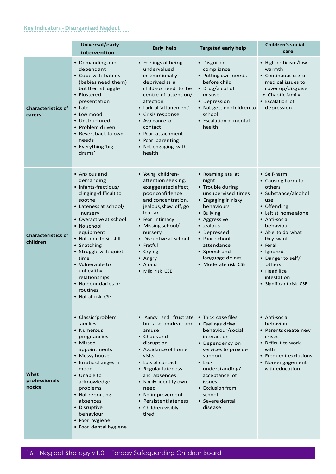## **Key Indicators- Disorganised Neglect**

|                                       | Universal/early<br>intervention                                                                                                                                                                                                                                                                                                                                    | Early help                                                                                                                                                                                                                                                                                          | <b>Targeted early help</b>                                                                                                                                                                                                                                       | <b>Children's social</b><br>care                                                                                                                                                                                                                                                               |
|---------------------------------------|--------------------------------------------------------------------------------------------------------------------------------------------------------------------------------------------------------------------------------------------------------------------------------------------------------------------------------------------------------------------|-----------------------------------------------------------------------------------------------------------------------------------------------------------------------------------------------------------------------------------------------------------------------------------------------------|------------------------------------------------------------------------------------------------------------------------------------------------------------------------------------------------------------------------------------------------------------------|------------------------------------------------------------------------------------------------------------------------------------------------------------------------------------------------------------------------------------------------------------------------------------------------|
| <b>Characteristics of</b><br>carers   | • Demanding and<br>dependant<br>• Cope with babies<br>(babies need them)<br>but then struggle<br>• Flustered<br>presentation<br>$\bullet$ Late<br>• Low mood<br>• Unstructured<br>• Problem driven<br>• Revert back to own<br>needs<br>• Everything 'big<br>drama'                                                                                                 | • Feelings of being<br>undervalued<br>or emotionally<br>deprived as a<br>child-so need to be<br>centre of attention/<br>affection<br>• Lack of 'attunement'<br>• Crisis response<br>• Avoidance of<br>contact<br>• Poor attachment<br>• Poor parenting<br>• Not engaging with<br>health             | • Disguised<br>compliance<br>• Putting own needs<br>before child<br>• Drug/alcohol<br>misuse<br>• Depression<br>• Not getting children to<br>school<br>• Escalation of mental<br>health                                                                          | • High criticism/low<br>warmth<br>• Continuous use of<br>medical issues to<br>cover up/disguise<br>• Chaotic family<br>• Escalation of<br>depression                                                                                                                                           |
| <b>Characteristics of</b><br>children | • Anxious and<br>demanding<br>• Infants-fractious/<br>clinging-difficult to<br>soothe<br>• Lateness at school/<br>nursery<br>• Overactive at school<br>• No school<br>equipment<br>• Not able to sit still<br>• Snatching<br>• Struggle with quiet<br>time<br>• Vulnerable to<br>unhealthy<br>relationships<br>• No boundaries or<br>routines<br>• Not at risk CSE | · Young children-<br>attention seeking,<br>exaggerated affect,<br>poor confidence<br>and concentration,<br>jealous, show off, go<br>too far<br>• Fear intimacy<br>• Missing school/<br>nursery<br>• Disruptive at school<br>• Fretful<br>$\bullet$ Crying<br>• Angry<br>• Afraid<br>• Mild risk CSE | • Roaming late at<br>night<br>• Trouble during<br>unsupervised times<br>• Engaging in risky<br>behaviours<br>• Bullying<br>• Aggressive<br>• Jealous<br>• Depressed<br>• Poor school<br>attendance<br>• Speech and<br>language delays<br>• Moderate risk CSE     | • Self-harm<br>• Causing harm to<br>others<br>• Substance/alcohol<br>use<br>• Offending<br>• Left at home alone<br>• Anti-social<br>behaviour<br>• Able to do what<br>they want<br>• Feral<br>• Ignored<br>• Danger to self/<br>others<br>• Head lice<br>infestation<br>• Significant risk CSE |
| What<br>professionals<br>notice       | • Classic 'problem<br>families'<br>• Numerous<br>pregnancies<br>• Missed<br>appointments<br>• Messy house<br>• Erratic changes in<br>mood<br>• Unable to<br>acknowledge<br>problems<br>• Not reporting<br>absences<br>• Disruptive<br>behaviour<br>• Poor hygiene<br>• Poor dental hygiene                                                                         | • Annoy and frustrate<br>but also endear and<br>amuse<br>• Chaos and<br>disruption<br>• Avoidance of home<br>visits<br>• Lots of contact<br>• Regular lateness<br>and absences<br>• Family identify own<br>need<br>• No improvement<br>• Persistent lateness<br>• Children visibly<br>tired         | • Thick case files<br>• Feelings drive<br>behaviour/social<br>interaction<br>• Dependency on<br>services to provide<br>support<br>$\bullet$ Lack<br>understanding/<br>acceptance of<br><i>issues</i><br>• Exclusion from<br>school<br>• Severe dental<br>disease | • Anti-social<br>behaviour<br>• Parents create new<br>crises<br>• Difficult to work<br>with<br>• Frequent exclusions<br>• Non-engagement<br>with education                                                                                                                                     |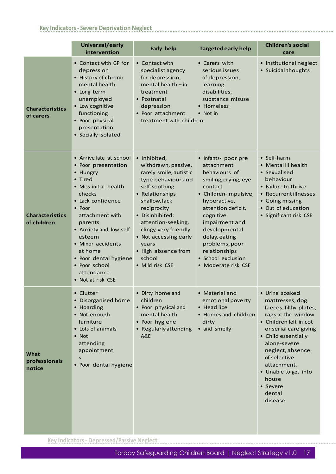### **Key Indicators- Severe Deprivation Neglect**

|                                       | Universal/early<br>intervention                                                                                                                                                                                                                                                                                        | Early help                                                                                                                                                                                                                                                                                                      | <b>Targeted early help</b>                                                                                                                                                                                                                                                                            | <b>Children's social</b><br>care                                                                                                                                                                                                                                                                 |
|---------------------------------------|------------------------------------------------------------------------------------------------------------------------------------------------------------------------------------------------------------------------------------------------------------------------------------------------------------------------|-----------------------------------------------------------------------------------------------------------------------------------------------------------------------------------------------------------------------------------------------------------------------------------------------------------------|-------------------------------------------------------------------------------------------------------------------------------------------------------------------------------------------------------------------------------------------------------------------------------------------------------|--------------------------------------------------------------------------------------------------------------------------------------------------------------------------------------------------------------------------------------------------------------------------------------------------|
| <b>Characteristics</b><br>of carers   | • Contact with GP for<br>depression<br>• History of chronic<br>mental health<br>• Long term<br>unemployed<br>• Low cognitive<br>functioning<br>• Poor physical<br>presentation<br>• Socially isolated                                                                                                                  | • Contact with<br>specialist agency<br>for depression,<br>mental health $-$ in<br>treatment<br>• Postnatal<br>depression<br>• Poor attachment<br>treatment with children                                                                                                                                        | • Carers with<br>serious issues<br>of depression,<br>learning<br>disabilities,<br>substance misuse<br>• Homeless<br>$\bullet$ Not in                                                                                                                                                                  | • Institutional neglect<br>• Suicidal thoughts                                                                                                                                                                                                                                                   |
| <b>Characteristics</b><br>of children | • Arrive late at school<br>• Poor presentation<br>• Hungry<br>• Tired<br>• Miss initial health<br>checks<br>• Lack confidence<br>• Poor<br>attachment with<br>parents<br>• Anxiety and low self<br>esteem<br>• Minor accidents<br>at home<br>• Poor dental hygiene<br>• Poor school<br>attendance<br>• Not at risk CSE | • Inhibited,<br>withdrawn, passive,<br>rarely smile, autistic<br>type behaviour and<br>self-soothing<br>• Relationships<br>shallow, lack<br>reciprocity<br>• Disinhibited:<br>attention-seeking,<br>clingy, very friendly<br>• Not accessing early<br>years<br>• High absence from<br>school<br>• Mild risk CSE | • Infants- poor pre<br>attachment<br>behaviours of<br>smiling, crying, eye<br>contact<br>• Children-impulsive,<br>hyperactive,<br>attention deficit,<br>cognitive<br>impairment and<br>developmental<br>delay, eating<br>problems, poor<br>relationships<br>· School exclusion<br>• Moderate risk CSE | • Self-harm<br>• Mental ill health<br>• Sexualised<br>behaviour<br>• Failure to thrive<br>• Recurrent illnesses<br>• Going missing<br>• Out of education<br>· Significant risk CSE                                                                                                               |
| What<br>professionals<br>notice       | • Clutter<br>• Disorganised home<br>• Hoarding<br>• Not enough<br>furniture<br>• Lots of animals<br>$\bullet$ Not<br>attending<br>appointment<br>S<br>• Poor dental hygiene                                                                                                                                            | • Dirty home and<br>children<br>• Poor physical and<br>mental health<br>• Poor hygiene<br>• Regularly attending<br>A&E                                                                                                                                                                                          | • Material and<br>emotional poverty<br>• Head lice<br>• Homes and children<br>dirty<br>• and smelly                                                                                                                                                                                                   | · Urine soaked<br>mattresses, dog<br>faeces, filthy plates,<br>rags at the window<br>• Children left in cot<br>or serial care giving<br>• Child essentially<br>alone-severe<br>neglect, absence<br>of selective<br>attachment.<br>• Unable to get into<br>house<br>• Severe<br>dental<br>disease |

**Key Indicators- Depressed/Passive Neglect**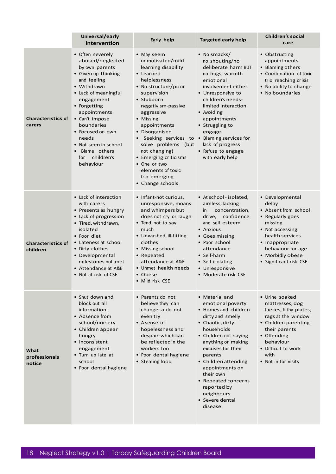|                                       | Universal/early<br>intervention                                                                                                                                                                                                                                                                                          | Early help                                                                                                                                                                                                                                                                                                                                                                                                           | <b>Targeted early help</b>                                                                                                                                                                                                                                                                                                                 | <b>Children's social</b><br>care                                                                                                                                                                             |
|---------------------------------------|--------------------------------------------------------------------------------------------------------------------------------------------------------------------------------------------------------------------------------------------------------------------------------------------------------------------------|----------------------------------------------------------------------------------------------------------------------------------------------------------------------------------------------------------------------------------------------------------------------------------------------------------------------------------------------------------------------------------------------------------------------|--------------------------------------------------------------------------------------------------------------------------------------------------------------------------------------------------------------------------------------------------------------------------------------------------------------------------------------------|--------------------------------------------------------------------------------------------------------------------------------------------------------------------------------------------------------------|
| <b>Characteristics of</b><br>carers   | • Often severely<br>abused/neglected<br>by own parents<br>• Given up thinking<br>and feeling<br>• Withdrawn<br>• Lack of meaningful<br>engagement<br>• Forgetting<br>appointments<br>• Can't impose<br>boundaries<br>• Focused on own<br>needs<br>• Not seen in school<br>Blame others<br>children's<br>for<br>behaviour | • May seem<br>unmotivated/mild<br>learning disability<br>• Learned<br>helplessness<br>• No structure/poor<br>supervision<br>• Stubborn<br>negativism-passive<br>aggressive<br>• Missing<br>appointments<br>• Disorganised<br>• Seeking services to • Blaming services for<br>solve problems (but<br>not changing)<br>• Emerging criticisms<br>• One or two<br>elements of toxic<br>trio emerging<br>• Change schools | • No smacks/<br>no shouting/no<br>deliberate harm BUT<br>no hugs, warmth<br>emotional<br>involvement either.<br>• Unresponsive to<br>children's needs-<br>limited interaction<br>• Avoiding<br>appointments<br>• Struggling to<br>engage<br>lack of progress<br>• Refuse to engage<br>with early help                                      | • Obstructing<br>appointments<br>• Blaming others<br>• Combination of toxic<br>trio reaching crisis<br>• No ability to change<br>• No boundaries                                                             |
| <b>Characteristics of</b><br>children | • Lack of interaction<br>with carers<br>• Presents as hungry<br>• Lack of progression<br>• Tired, withdrawn,<br>isolated<br>• Poor diet<br>• Lateness at school<br>• Dirty clothes<br>• Developmental<br>milestones not met<br>• Attendance at A&E<br>• Not at risk of CSE                                               | • Infant-not curious,<br>unresponsive, moans<br>and whimpers but<br>does not cry or laugh<br>• Tend not to say<br>much<br>• Unwashed, ill-fitting<br>clothes<br>• Missing school<br>• Repeated<br>attendance at A&E<br>• Unmet health needs<br>• Obese<br>• Mild risk CSE                                                                                                                                            | • At school - isolated,<br>aimless, lacking<br>concentration,<br>in<br>confidence<br>drive,<br>and self esteem<br>• Anxious<br>• Goes missing<br>• Poor school<br>attendance<br>• Self-harm<br>• Self-isolating<br>• Unresponsive<br>• Moderate risk CSE                                                                                   | • Developmental<br>delay<br>• Absent from school<br>• Regularly goes<br>missing<br>• Not accessing<br>health services<br>• Inappropriate<br>behaviour for age<br>• Morbidly obese<br>• Significant risk CSE  |
| What<br>professionals<br>notice       | • Shut down and<br>block out all<br>information.<br>• Absence from<br>school/nursery<br>• Children appear<br>hungry<br>• Inconsistent<br>engagement<br>• Turn up late at<br>school<br>• Poor dental hygiene                                                                                                              | • Parents do not<br>believe they can<br>change so do not<br>even try<br>• A sense of<br>hopelessness and<br>despair-which can<br>be reflected in the<br>workers too<br>• Poor dental hygiene<br>• Stealing food                                                                                                                                                                                                      | • Material and<br>emotional poverty<br>• Homes and children<br>dirty and smelly<br>• Chaotic, dirty<br>households<br>• Children not saying<br>anything or making<br>excuses for their<br>parents<br>• Children attending<br>appointments on<br>their own<br>• Repeated concerns<br>reported by<br>neighbours<br>• Severe dental<br>disease | • Urine soaked<br>mattresses, dog<br>faeces, filthy plates,<br>rags at the window<br>• Children parenting<br>their parents<br>• Offending<br>behaviour<br>• Difficult to work<br>with<br>• Not in for visits |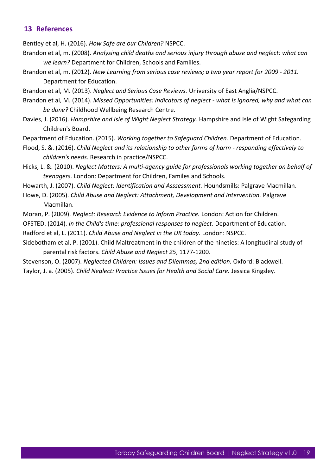#### <span id="page-18-0"></span>**13 References**

Bentley et al, H. (2016). *How Safe are our Children?* NSPCC.

- Brandon et al, m. (2008). *Analysing child deaths and serious injury through abuse and neglect: what can we learn?* Department for Children, Schools and Families.
- Brandon et al, m. (2012). *New Learning from serious case reviews; a two year report for 2009 - 2011.* Department for Education.
- Brandon et al, M. (2013). *Neglect and Serious Case Reviews.* University of East Anglia/NSPCC.
- Brandon et al, M. (2014). *Missed Opportunities: indicators of neglect - what is ignored, why and what can be done?* Childhood Wellbeing Research Centre.
- Davies, J. (2016). *Hampshire and Isle of Wight Neglect Strategy.* Hampshire and Isle of Wight Safegarding Children's Board.
- Department of Education. (2015). *Working together to Safeguard Children.* Department of Education.
- Flood, S. &. (2016). *Child Neglect and its relationship to other forms of harm - responding effectively to children's needs.* Research in practice/NSPCC.
- Hicks, L. &. (2010). *Neglect Matters: A multi-agency guide for professionals working together on behalf of teenagers.* London: Department for Children, Familes and Schools.
- Howarth, J. (2007). *Child Neglect: Identification and Asssessment.* Houndsmills: Palgrave Macmillan.
- Howe, D. (2005). *Child Abuse and Neglect: Attachment, Development and Intervention.* Palgrave Macmillan.
- Moran, P. (2009). *Neglect: Research Evidence to Inform Practice.* London: Action for Children.
- OFSTED. (2014). *In the Child's time: professional responses to neglect.* Department of Education.
- Radford et al, L. (2011). *Child Abuse and Neglect in the UK today.* London: NSPCC.
- Sidebotham et al, P. (2001). Child Maltreatment in the children of the nineties: A longitudinal study of parental risk factors. *Child Abuse and Neglect 25*, 1177-1200.
- Stevenson, O. (2007). *Neglected Children: Issues and Dilemmas, 2nd edition.* Oxford: Blackwell.
- Taylor, J. a. (2005). *Child Neglect: Practice Issues for Health and Social Care.* Jessica Kingsley.